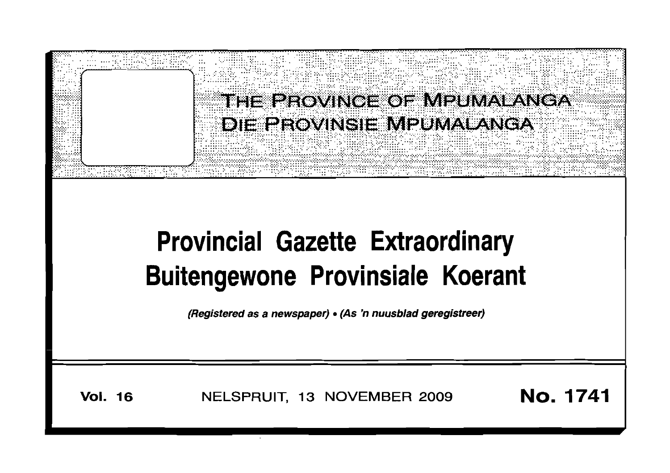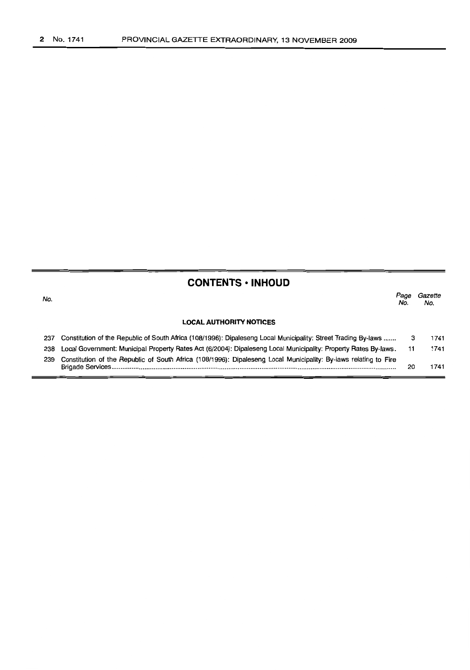| <b>CONTENTS • INHOUD</b> |                                                                                                                  |             |                |  |  |  |  |  |  |
|--------------------------|------------------------------------------------------------------------------------------------------------------|-------------|----------------|--|--|--|--|--|--|
| No.                      |                                                                                                                  | Page<br>No. | Gazette<br>No. |  |  |  |  |  |  |
|                          | <b>LOCAL AUTHORITY NOTICES</b>                                                                                   |             |                |  |  |  |  |  |  |
| 237                      | Constitution of the Republic of South Africa (108/1996): Dipaleseng Local Municipality: Street Trading By-laws   | 3           | 1741           |  |  |  |  |  |  |
| 238                      | Local Government: Municipal Property Rates Act (6/2004): Dipaleseng Local Municipality: Property Rates By-laws.  | 11          | 1741           |  |  |  |  |  |  |
| 239                      | Constitution of the Republic of South Africa (108/1996): Dipaleseng Local Municipality: By-laws relating to Fire | 20          | 1741           |  |  |  |  |  |  |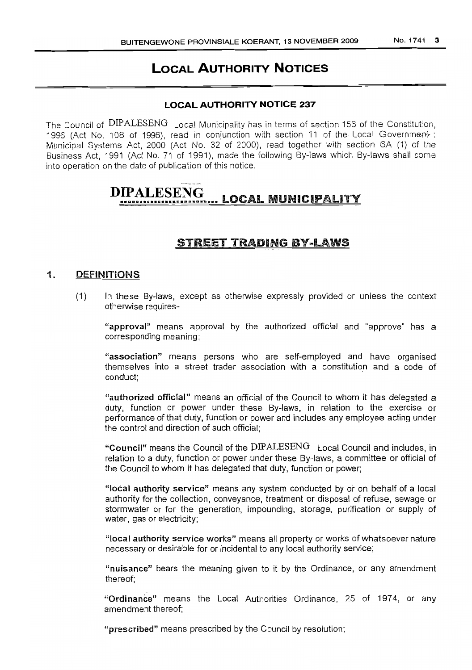# **LOCAL AUTHORITY NOTICES**

# **LOCAL AUTHORITY NOTICE 237**

The Council of DIPALESENG \_ocal Municipality has in terms of section 156 of the Constitution, 1996 (Act No. 108 of 1996), read in conjunction with section 11 of the Local Government: Municipal Systems Act, 2000 (Act No. 32 of 2000), read together with section 6A (1) of the Business Act, 1991 (Act No. 71 of 1991), made the following By-laws which By-laws shall come into operation on the date of publication of this notice.

# **DIPALESENG** ........... <sup>n</sup> ......."......a....... LOCAL MUNICiPALITY

# STREET TRADING BY-LAWS

# 1. DEFINITIONS

(1) In these By-laws, except as otherwise expressly provided or unless the context otherwise requires-

"approval" means approval by the authorized official and "approve" has a corresponding meaning;

"association" means persons who are self-employed and have organised themselves into a street trader association with a constitution and a code of conduct;

"authorized official" means an official of the Council to whom it has delegated a duty, function or power under these By-laws, in relation to the exercise or performance of that duty, function or power and includes any employee acting under the control and direction of such official;

"Council" means the Council of the  $DIPALESENG$  Local Council and includes, in relation to a duty, function or power under these By-laws, a committee or official of the Council to whom it has delegated that duty, function or power;

"local authority service" means any system conducted by or on behalf of a local authority for the collection, conveyance, treatment or disposal of refuse, sewage or stormwater or for the generation, impounding, storage, purification or supply of water, gas or electricity;

"local authority service works" means all property or works of whatsoever nature necessary or desirable for or incidental to any local authority service;

"nuisance" bears the meaning given to it by the Ordinance, or any amendment thereof;

"Ordinance" means the Local Authorities Ordinance. 25 of 1974, or any amendment thereof;

"prescribed" means prescribed by the Council by resolution;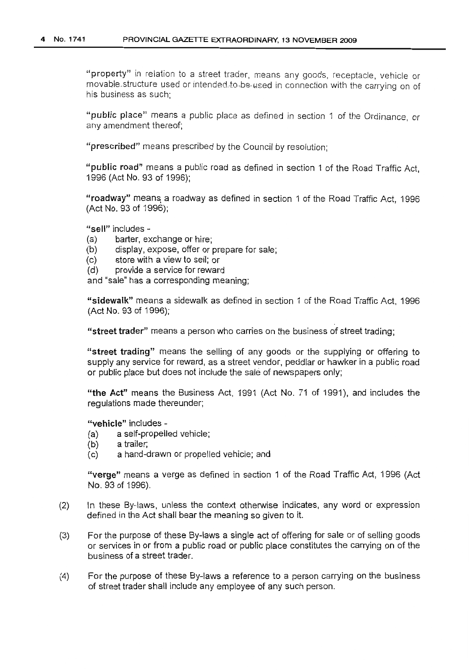"property" in relation to a street trader, means any goods, receptacle, vehicle or movable structure used or intended to be used in connection with the carrying on of his business as such;

"public place" means a public place as defined in section 1 of the Ordinance, or any amendment thereof;

"prescribed" means prescribed by the Council by resolution;

"public road" means a public road as defined in section 1 of the Road Traffic Act, 1996 (Act No. 93 of 1996);

"roadway" means a roadway as defined in section 1 of the Road Traffic Act, 1996 (Act No. 93 of 1996);

"sell" includes -

- (a) barter, exchange or hire;
- (b) display, expose, offer or prepare for sale;
- (c) store with a view to sell; or
- (d) provide a service for reward

and "sale" has a corresponding meaning;

"sidewalk" means a sidewalk as defined in section 1 of the Road Traffic Act, 1996 (Act No. 93 of 1996);

"street trader" means a person who carries on the business of street trading;

"street trading" means the selling of any goods or the supplying or offering to supply any service for reward, as a street vendor, peddlar or hawker in a public road or public place but does not include the sale of newspapers only;

"the Act" means the Business Act, 1991 (Act No. 71 of 1991), and includes the regulations made thereunder;

"vehicle" includes -

- (a) a self-propelled vehicle;
- (b) a trailer;
- (c) a hand-drawn or propelled vehicle; and

"verge" means a verge as defined in section 1 of the Road Traffic Act, 1996 (Act No. 93 of 1996).

- (2) In these By-laws, unless the context otherwise indicates, any word or expression defined in the Act shall bear the meaning so given to it.
- (3) For the purpose of these By-laws a single act of offering for sale or of selling goods or services in or from a public road or public place constitutes the carrying on of the business of a street trader.
- (4) For the purpose of these By-laws a reference to a person carrying on the business of street trader shall include any employee of any such person.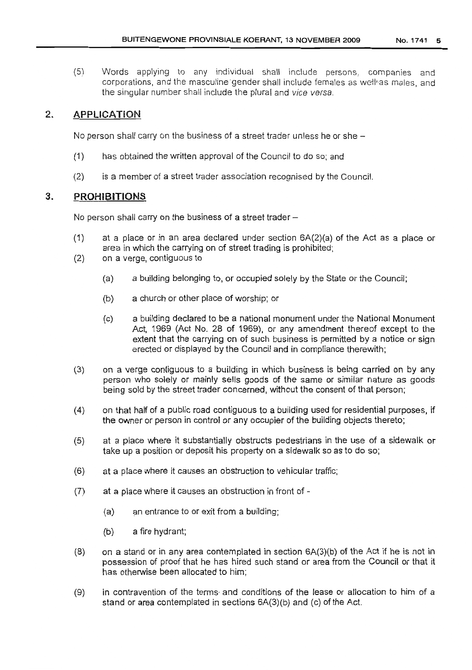(5) Words applying to any individual shall include persons, companies and corporations, and the masculine gender shall include females as well-as males, and the singular number shall include the plural and vice versa.

# 2. APPLICATION

No person shall carry on the business of a street trader unless he or she  $-$ 

- (1) has obtained the written approval of the Council to do so; and
- (2) is a member of a street trader association recognised by the Council.

# **3. PROHIBITIONS**

No person shall carry on the business of a street trader  $-$ 

- (1) at a place or in an area declared under section 6A(2)(a) of the Act as a place or area in which the carrying on of street trading is prohibited;
- (2) on a verge, contiguous to
	- (a) a building belonging to, or occupied solely by the State or the Council;
	- (b) a church or other place of worship; or
	- (c) a building declared to be a national monument under the National Monument Act, 1969 (Act No. 28 of 1969), or any amendment thereof except to the extent that the carrying on of such business is permitted by a notice or sign erected or displayed by the Council and in compliance therewith;
- (3) on a verge contiguous to a building in which business is being carried on by any person who solely or mainly sells goods of the same or similar nature as goods being sold by the street trader concerned, without the consent of that person;
- (4) on that half of a public road contiguous to a building used for residential purposes, if the owner or person in control or any occupier of the building objects thereto;
- (5) at a place where it substantially obstructs pedestrians in the use of a sidewalk or take up a position or deposit his property on a sidewalk so as to do so;
- (6) at a place where it causes an obstruction to vehicular traffic;
- (7) at a place where it causes an obstruction in front of
	- (a) an entrance to or exit from a building;
	- (b) a fire hydrant;
- (8) on a stand or in any area contemplated in section 6A(3)(b) of the Act if he is not in possession of proof that he has hired such stand or area from the Council or that it has otherwise been allocated to him;
- (9) in contravention of the terms' and conditions of the lease or allocation to him of a stand or area contemplated in sections 6A(3)(b) and (c) of the Act.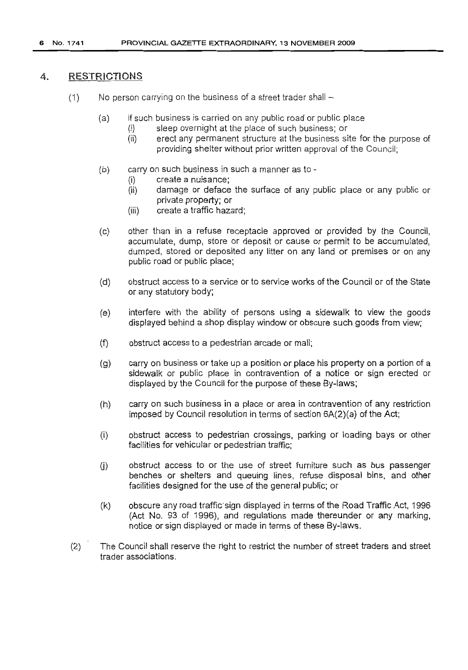## 4. RESTRICTIONS

- $(1)$  No person carrying on the business of a street trader shall  $-$ 
	- (a) if such business is carried on any public road or public place
		- (i) sleep overnight at the place of such business; or
		- (ii) erect any permanent structure at the business site for the purpose of providing shelter without prior written approval of the Council;
	- (b) carry on such business in such a manner as to
		- (i) create a nuisance;
		- (ii) damage or deface the surface of any public place or any public or private property; or
		- (iii) create a traffic hazard;
	- (c) other than in a refuse receptacle approved or provided by the Council, accumulate, dump, store or deposit or cause or permit to be accumulated, dumped, stored or deposited any litter on any land or premises or on any public road or public place;
	- (d) obstruct access to a service or to service works of the Councilor of the State or any statutory body;
	- (e) interfere with the ability of persons using a sidewalk to view the goods displayed behind a shop display window or obscure such goods from view;
	- (f) obstruct access to a pedestrian arcade or mall;
	- (g) carry on business or take up a position or place his property on a portion of a sidewalk or public place in contravention of a notice or sign erected or displayed by the Council for the purpose of these By-laws;
	- (h) carry on such business in a place or area in contravention of any restriction imposed by Council resolution in terms of section 6A(2)(a) of the Act;
	- (i) obstruct access to pedestrian crossings, parking or loading bays or other facilities for vehicular or pedestrian traffic;
	- (i) obstruct access to or the use of street furniture such as bus passenger benches or shelters and queuing lines, refuse disposal bins, and other facilities designed for the use of the general public; or
	- (k) obscure any road traffic'sign displayed in terms of the Road Traffic Act, 1996 (Act No. 93 of 1996), and regulations made thereunder or any marking, notice or sign displayed or made in terms of these By-laws.
- (2) The Council shall reserve the right to restrict the number of street traders and street trader associations.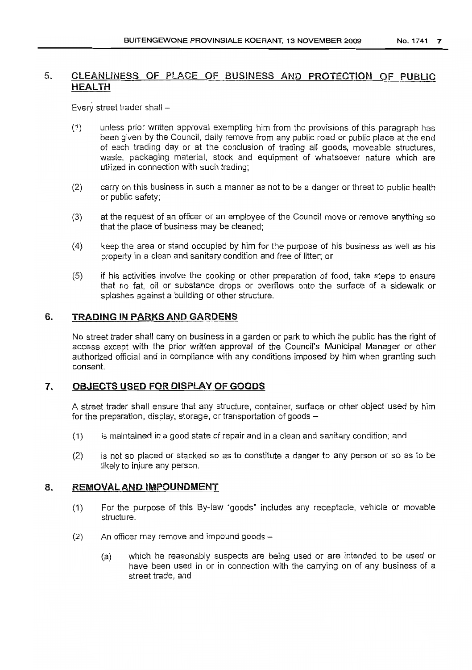# 5. CLEANLINESS OF PLACE OF BUSINESS AND PROTECTION OF PUBLIC HEALTH

Every street trader shall  $-$ 

- (1) unless prior written approval exempting him from the provisions of this paragraph has been given by the Council, daily remove from any public road or public place at the end of each trading day or at the conclusion of trading all goods, moveable structures, waste, packaging material, stock and equipment of whatsoever nature which are utilized in connection with such trading;
- (2) carry on this business in such a manner as not to be a danger or threat to public health or public safety;
- (3) at the request of an officer or an employee of the Council move or remove anything so that the place of business may be cleaned;
- (4) keep the area or stand occupied by him for the purpose of his business as well as his property in a clean and sanitary condition and free of litter; or
- (5) if his activities involve the cooking or other preparation of food, take steps to ensure that no fat, oil or substance drops or overflows onto the surface of a sidewalk or splashes against a building or other structure.

# 6. TRADING IN PARKS AND GARDENS

No street trader shall carry on business in a garden or park to which the public has the right of access except with the prior written approval of the Council's Municipal Manager or other authorized official and in compliance with any conditions imposed by him when granting such consent.

# 7. OBJECTS USED FOR DlSPLAV OF GOODS

A street trader shall ensure that any structure, container, surface or other object used by him for the preparation, display, storage, or transportation of goods -

- (1) is maintained in a good state of repair and in a clean and sanitary condition; and
- (2) is not so placed or stacked so as to constitute a danger to any person or so as to be likely to injure any person.

# 8. REMOVAL AND IMPOUNDMENT

- (1) For the purpose of this By-law "goods" includes any receptacle, vehicle or movable structure.
- $(2)$  An officer may remove and impound goods  $-$ 
	- (a) which he reasonably suspects are being used or are intended to be used or have been used in or in connection with the carrying on of any business of a street trade, and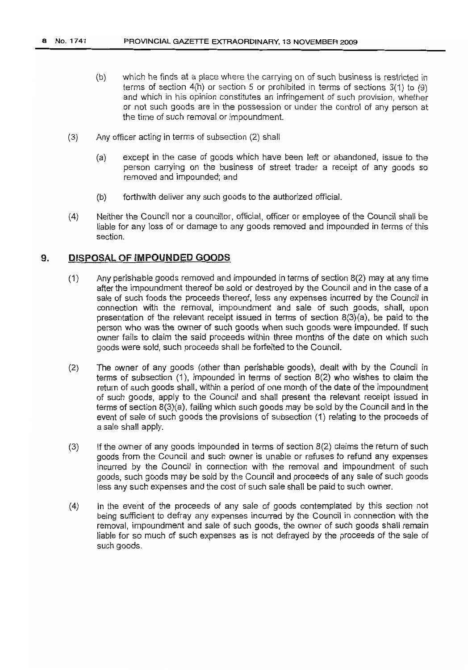- (b) which he finds at a place where the carrying on of such business is restricted in terms of section 4(h) or section 5 or prohibited in terms of sections 3(1) to (9) and which in his opinion constitutes an infringement of such provision, whether or not such goods are in the possession or under the control of any person at the time of such removal or impoundment.
- (3) Any officer acting in terms of subsection (2) shall
	- (a) except in the case of goods which have been left or abandoned, issue to the person carrying on the business of street trader a receipt of any goods so removed and impounded; and
	- (b) forthwith deliver any such goods to the authorized official.
- (4) Neither the Council nor a councillor, official, officer or employee of the Council shall be liable for any loss of or damage to any goods removed and impounded in terms of this section.

# **9. DISPOSAL OF IMPOUNDED GOODS**

- (1) Any perishable goods removed and impounded in terms of section 8(2) may at any time after the impoundment thereof be sold or destroyed by the Council and in the case of a sale of such foods the proceeds thereof, less any expenses incurred by the Council in connection with the removal, impoundment and sale of such goods, shall, upon presentation of the relevant receipt issued in terms of section 8(3)(a), be paid to the person who was the owner of such goods when such goods were impounded. If such owner fails to claim the said proceeds within three months of the date on which such goods were sold, such proceeds shall be forfeited to the Council.
- (2) The owner of any goods (other than perishable goods), dealt with by the Council in terms of subsection (1), impounded in terms of section 8(2) who wishes to claim the return of such goods shall, within a period of one month of the date of the impoundment of such goods, apply to the Council and shall present the relevant receipt issued in terms of section 8(3)(a), failing which such goods may be sold by the Council and in the event of sale of such goods the provisions of subsection (1) relating to the proceeds of a sale shall apply.
- (3) If the owner of any goods impounded in terms of section 8(2) claims the return of such goods from the Council and such owner is unable or refuses to refund any expenses incurred by the Council in connection with the removal and impoundment of such goods, such goods may be sold by the Council and proceeds of any sale of such goods less any such expenses and the cost of such sale shall be paid to such owner.
- (4) In the event of the proceeds of any sale of goods contemplated by this section not being sufficient to defray any expenses incurred by the Council in connection with the removal, impoundment and sale of such goods, the owner of such goods shall remain liable for so much of such expenses as is not defrayed by the proceeds of the sale of such goods.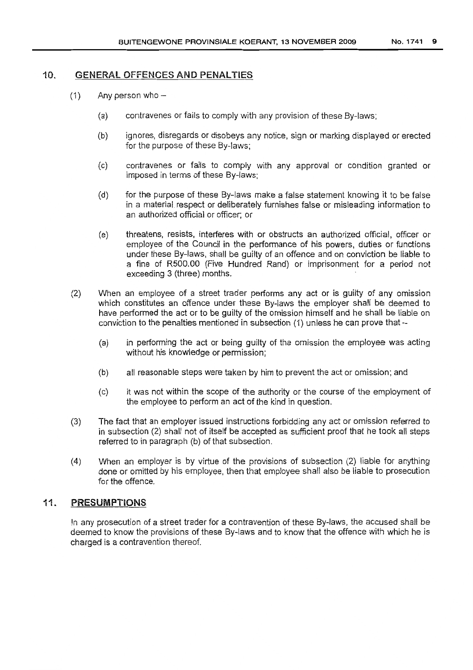# 10. GENERAL OFFENCES AND PENALTiES

- $(1)$  Any person who -
	- (a) contravenes or fails to comply with any provision of these By-laws;
	- (b) ignores, disregards or disobeys any notice, sign or marking displayed or erected for the purpose of these By-laws;
	- (c) contravenes or fails to comply with any approval or condition granted or imposed in terms of these By-laws;
	- (d) for the purpose of these By-laws make a false statement knowing it to be false in a material respect or deliberately furnishes false or misleading information to an authorized official or officer; or
	- (e) threatens, resists, interferes with or obstructs an authorized official, officer or employee of the Council in the performance of his powers, duties or functions under these By-laws, shall be guilty of an offence and on conviction be liable to a fine of R500.00 (Five Hundred Rand) or imprisonment for a period not exceeding 3 (three) months.
- (2) When an employee of a street trader performs any act or is guilty of any omission which constitutes an offence under these By-laws the employer shall be deemed to have performed the act or to be guilty of the omission himself and he shall be liable on conviction to the penalties mentioned in subsection (1) unless he can prove that -
	- (a) in performing the act or being guilty of the omission the employee was acting without his knowledge or permission;
	- (b) all reasonable steps were taken by him to prevent the act or omission; and
	- (c) it was not within the scope of the authority or the course of the employment of the employee to perform an act of the kind in question.
- (3) The fact that an employer issued instructions forbidding any act or omission referred to in subsection (2) shall not of itself be accepted as sufficient proof that he took all steps referred to in paragraph (b) of that subsection.
- (4) When an employer is by virtue of the provisions of subsection (2) liable for anything done or omitted by his employee, then that employee shall also be liable to prosecution for the offence.

# 11. PRESUMPTIONS

In any prosecution of a street trader for a contravention of these By-laws, the accused shall be deemed to know the provisions of these By-laws and to know that the offence with which he is charged is a contravention thereof.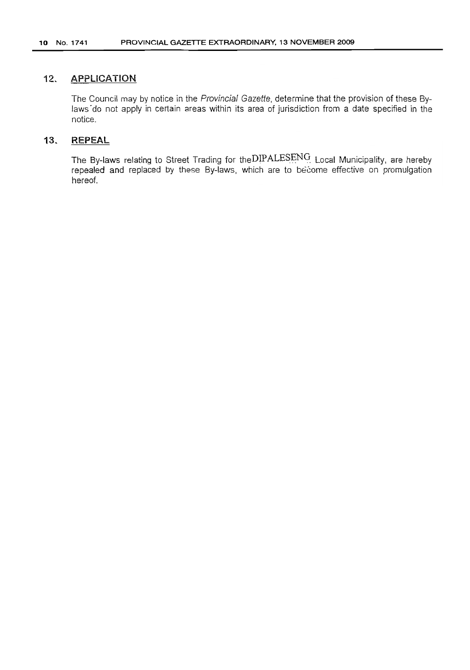# **12. APPLICATION**

The Council may by notice in the Provincial Gazette, determine that the provision of these Bylaws do not apply in certain areas within its area of jurisdiction from a date specified in the notice.

# **13. REPEAL**

The By-laws relating to Street Trading for theDIPALESENG: Local Municipality, are hereby repealed and replaced by these By-laws, which are to become effective on promulgation hereof.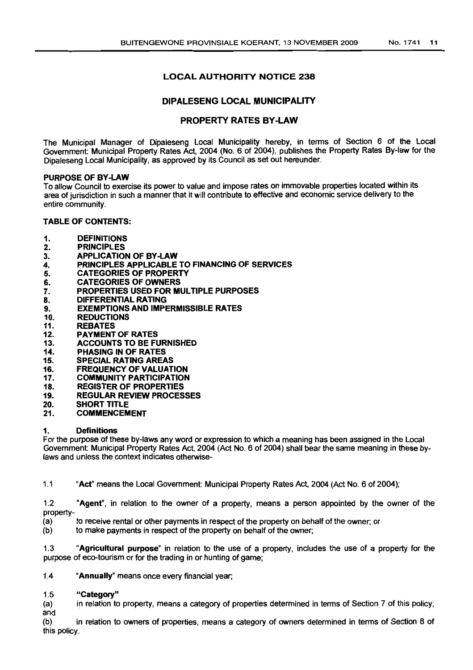# LOCAL AUTHORITY NOTICE 238

# DIPALESENG LOCAL MUNICIPALITY

# PROPERTY RATES BY-LAW

The Municipal Manager of Dipaleseng Local Municipality hereby, in terms of Section 6 of the Local Government: Municipal Property Rates Act, 2004 (No.6 of 2004), publishes the Property Rates By-law for the Dipaleseng Local Municipality, as approved by its Council as set out hereunder.

#### PURPOSEOF BY-LAW

To allow Council to exercise its power to value and impose rates on immovable properties located within its area of jurisdiction in such a manner that it will contribute to effective and economic service delivery to the entire community.

#### TABLE OF CONTENTS:

- 1. DEFINITIONS
- 2. PRINCIPLES
- 3. APPLICATION OF BY-LAW<br>4. PRINCIPLES APPLICABLE
- 4. PRINCIPLES APPLICABLE TO FINANCING OF SERVICES<br>5. CATEGORIES OF PROPERTY
- 5. CATEGORIES OF PROPERTY
- 6. CATEGORIES OF OWNERS<br>7. PROPERTIES USED FOR M
- PROPERTIES USED FOR MULTIPLE PURPOSES
- 8. DIFFERENTIAL RATING
- 9. **EXEMPTIONS AND IMPERMISSIBLE RATES**
- 10. REDUCTIONS<br>11. REBATES
- **REBATES**
- 12. PAYMENT OF RATES
- 13. ACCOUNTS TO BE FURNISHED<br>14. PHASING IN OF RATES
- 14. PHASING IN OF RATES<br>15. SPECIAL RATING AREA
- 15. SPECIAL RATING AREAS<br>16. FREQUENCY OF VALUAT
- 16. FREQUENCY OF VALUATION<br>17. COMMUNITY PARTICIPATION
- 17. COMMUNITY PARTICIPATION<br>18. REGISTER OF PROPERTIES
- 18. REGISTER OF PROPERTIES<br>19. REGULAR REVIEW PROCES
- 19. REGULAR REVIEW PROCESSES<br>20. SHORT TITLE
- SHORT TITLE
- 21. COMMENCEMENT

#### 1. Definitions

For the purpose of these by-laws any word or expression to which a meaning has been assigned in the Local Government: Municipal Property Rates Act, 2004 (Act NO.6 of 2004) shall bear the same meaning in these bylaws and unless the context indicates otherwise-

1.1 "Act" means the Local Government: Municipal Property Rates Act, 2004 (Act No. 6 of 2004);

1.2 "Agent", in relation to the owner of a property, means a person appointed by the owner of the property-

- (a) to receive rental or other payments in respect of the property on behalf of the owner; or (b) to make payments in respect of the property on behalf of the owner:
- to make payments in respect of the property on behalf of the owner;

1.3 "Agricultural purpose" in relation to the use of a property, includes the use of a property for the purpose of eco-tourism or for the trading in or hunting of game;

1.4 "Annually" means once every financial year;

#### "Category" 1.5

in relation to property, means a category of properties determined in terms of Section 7 of this policy; (a) and

(b) in relation to owners of properties, means a category of owners determined in terms of Section 8 of this policy.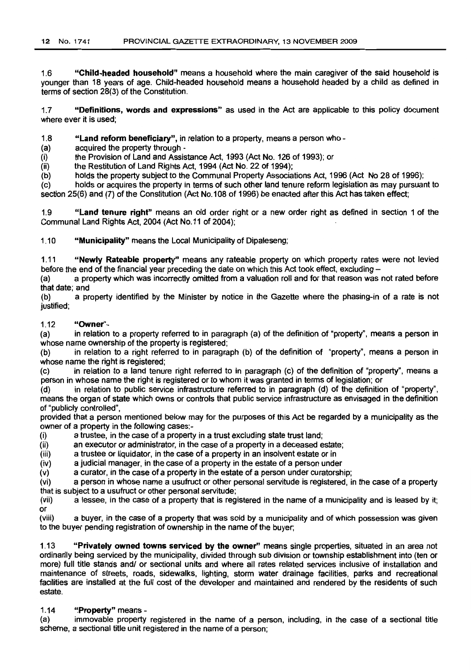1.6 "Child-headed household" means a household where the main caregiver of the said household is younger than 18 years of age. Child-headed household means a household headed by a child as defined in terms of section 28(3) of the Constitution.

1.7 "Definitions, words and expressions" as used in the Act are applicable to this policy document where ever it is used;

1.8 "Land reform beneficiary", in relation to a property, means a person who-

(a) acquired the property through -

(i) the Provision of Land and Assistance Act, 1993 (Act No. 126 of 1993); or

 $(iii)$  the Restitution of Land Rights Act, 1994 (Act No. 22 of 1994);<br>(b) holds the property subject to the Communal Property Associa

holds the property subject to the Communal Property Associations Act, 1996 (Act No 28 of 1996);

(c) holds or acquires the property in terms of such other land tenure reform legislation as may pursuant to section 25(6) and (7) of the Constitution (Act No.108 of 1996) be enacted after this Act has taken effect;

1.9 "Land tenure right" means an old order right or a new order right as defined in section 1 of the Communal Land Rights Act, 2004 (Act No.11 of 2004);

1.10 "Municipality" means the Local Municipality of Dipaleseng;

1.11 "Newly Rateable property" means any rateable property on which property rates were not levied before the end of the financial year preceding the date on which this Act took effect, excluding -

(a) a property which was incorrectly omitted from a valuation roll and for that reason was not rated before that date; and

(b) a property identified by the Minister by notice in the Gazette where the phasing-in of a rate is not justified;

1.12 "**Owner**"-<br>(a) in relation in relation to a property referred to in paragraph (a) of the definition of "property", means a person in whose name ownership of the property is registered;

(b) in relation to a right referred to in paragraph (b) of the definition of "property", means a person in whose name the right is registered:

(c) in relation to a land tenure right referred to in paragraph (c) of the definition of "property", means a person in whose name the right is registered or to whom it was granted in terms of legislation; or (d) in relation to public service infrastructure referred to in paragraph (d) of the definition

in relation to public service infrastructure referred to in paragraph (d) of the definition of "property", means the organ of state which owns or controls that public service infrastructure as envisaged in the definition of "publicly controlled",

provided that a person mentioned below may for the purposes of this Act be regarded by a municipality as the owner of a property in the following cases:-

(i) a trustee, in the case of a property in a trust excluding state trust land;

(ii) an executor or administrator, in the case of a property in a deceased estate;

(iii) a trustee or liquidator, in the case of a property in an insolvent estate or in

(iv) a judicial manager, in the case of a property in the estate of a person under

(v) a curator, in the case of a property in the estate of a person under curatorship;

(vi) a person in whose name a usufruct or other personal servitude is registered, in the case of a property that is subject to a usufruct or other personal servitude;

(vii) a lessee, in the case of a property that is registered in the name of a municipality and is leased by it; or<br>(viii)

a buyer, in the case of a property that was sold by a municipality and of which possession was given to the buyer pending registration of ownership in the name of the buyer;

1.13 "Privately owned towns serviced by the owner" means single properties, situated in an area not ordinarily being serviced by the municipality, divided through sub division or township establishment into (ten or more) full title stands and/ or sectional units and where all rates related services inclusive of installation and maintenance of streets, roads, sidewalks, lighting, storm water drainage facilities, parks and recreational facilities are installed at the full cost of the developer and maintained and rendered by the residents of such estate.

#### 1.14 "Property" means -

(a) immovable property registered in the name of a person, including, in the case of a sectional title scheme, a sectional title unit registered in the name of a person;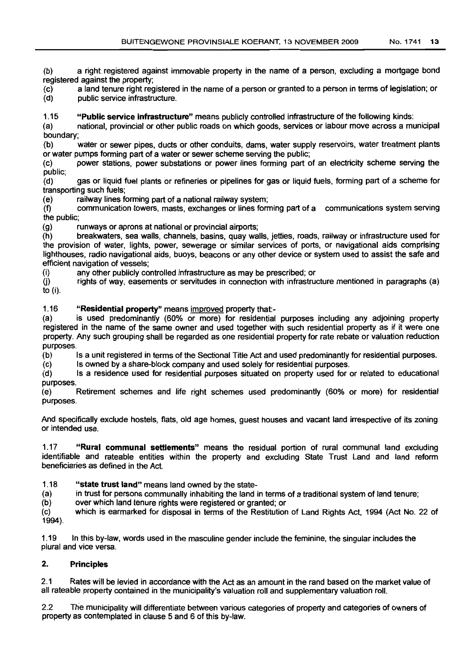(b) a right registered against immovable property in the name of a person, excluding a mortgage bond registered against the property;

(c) a land tenure right registered in the name of a person or granted to a person in terms of legislation; or (d)

public service infrastructure.

1.15 "Public service infrastructure" means publicly controlled infrastructure of the following kinds:

(a) national, provincial or other public roads on which goods, services or labour move across a municipal boundary;

(b) water or sewer pipes, ducts or other conduits, dams, water supply reservoirs, water treatment plants or water pumps forming part of a water or sewer scheme serving the public;

(c) power stations, power substations or power lines forming part of an electricity scheme serving the public;

(d) gas or liquid fuel plants or refineries or pipelines for gas or liquid fuels, forming part of a scheme for transporting such fuels;

(e) railway lines forming part of a national railway system;

(f) communication towers, masts, exchanges or lines forming part of a communications system serving the public;

(g) runways or aprons at national or provincial airports;

(h) breakwaters, sea walls, channels, basins, quay walls, jetties, roads, railway or infrastructure used for the provision of water, Ijghts, power, sewerage or similar services of ports, or navigational aids comprising lighthouses, radio navigational aids, buoys, beacons or any other device or system used to assist the safe and efficient navigation of vessels;

(i) any other publicly controlled infrastructure as may be prescribed; or

(j) rights of way, easements or servitudes in connection with infrastructure mentioned in paragraphs (a) to (i).

1.16 "Residential property" means improved property that:-

(a) is used predominantly (60% or more) for residential purposes including any adjoining property registered in the name of the same owner and used together with such residential property as if it were one property. Any such grouping shall be regarded as one residential property for rate rebate or valuation reduction purposes.

(b) Is a unit registered in terms of the Sectional Title Act and used predominantly for residential purposes.

(c) Is owned by a share-block company and used solely for residential purposes.

(d) Is a residence used for residential purposes situated on property used for or related to educational purposes.

(e) Retirement schemes and life right schemes used predominantly (60% or more) for residential purposes.

And specifically exclude hostels, flats, old age homes, guest houses and vacant land irrespective of its zoning or intended use.

1.17 "Rural communal settlements" means the residual portion of rural communal land excluding identifiable and rateable entities within the property and excluding State Trust Land and land reform beneficiaries as defined in the Act.

1.18 "state trust land" means land owned by the state-

(a) in trust for persons communally inhabiting the land in terms of a traditional system of land tenure;

(b) over which land tenure rights were registered or granted; or

(c) 1994). which is earmarked for disposal in terms of the Restitution of Land Rights Act, 1994 (Act No. 22 of

1.19 In this by-law, words used in the masculine gender include the feminine, the singular includes the plural and vice versa.

# 2. Principles

2.1 Rates will be levied in accordance with the Act as an amount in the rand based on the market value of all rateable property contained in the municipality's valuation roll and supplementary valuation roll.

2.2 The municipality will differentiate between various categories of property and categories of owners of property as contemplated in clause 5 and 6 of this by-law.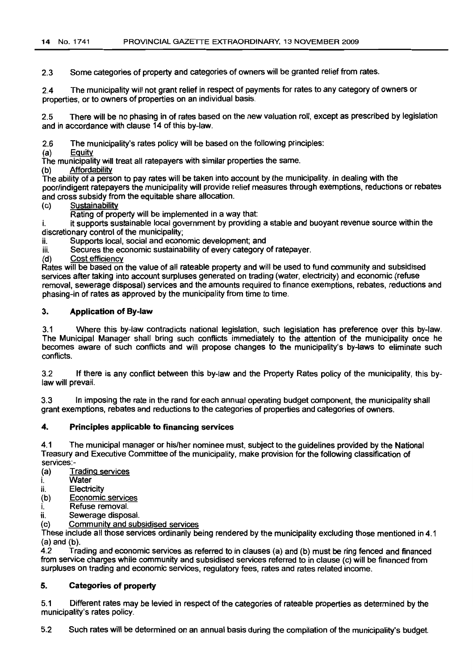2.3 Some categories of property and categories of owners will be granted relief from rates.

2.4 The municipality will not grant relief in respect of payments for rates to any category of owners or properties, or to owners of properties on an individual basis.

2.5 There will be no phasing in of rates based on the new valuation roll, except as prescribed by legislation and in accordance with clause 14 of this by-law.

2.6 The municipality's rates policy will be based on the following principles:

(a) Equity

The municipality will treat all ratepayers with similar properties the same.

(b) Affordability

The ability of a person to pay rates will be taken into account by the municipality. In dealing with the poor/indigent ratepayers the municipality will provide relief measures through exemptions, reductions or rebates and cross subsidy from the equitable share allocation.

(c) Sustainability

Rating of property will be implemented in a way that

i. it supports sustainable local government by providing a stable and buoyant revenue source within the discretionary control of the municipality;

ii. Supports local, social and economic development; and

iii. Secures the economic sustainability of every category of ratepayer.

(d) Cost efficiency

Rates will be based on the value of all rateable property and will be used to fund community and subsidised services after taking into account surpluses generated on trading (water, electricity) and economic (refuse removal, sewerage disposal) services and the amounts required to finance exemptions, rebates, reductions and phasing-in of rates as approved by the municipality from time to time.

#### 3. Application of By-law

3.1 Where this by-law contradicts national legislation, such legislation has preference over this by-law. The Municipal Manager shall bring such conflicts immediately to the attention of the municipality once he becomes aware of such conflicts and will propose changes to the municipality's by-laws to eliminate such conflicts.

3.2 If there is any conflict between this by-law and the Property Rates policy of the municipality, this bylaw will prevail.

3.3 In imposing the rate in the rand for each annual operating budget component, the municipality shall grant exemptions, rebates and reductions to the categories of properties and categories of owners.

#### 4. Principles applicable to financing services

4.1 The municipal manager or his/her nominee must, subject to the guidelines provided by the National Treasury and Executive Committee of the municipality, make provision for the following classification of services:-

- (a) Trading services
- i. Water
- ii. Electricity
- (b) Economic services
- Refuse removal.
- ii. Sewerage disposal.
- (c) Community and subsidised services

These include all those services ordinarily being rendered by the municipality excluding those mentioned in 4.1 (a) and (b).

4.2 Trading and economic services as referred to in clauses (a) and (b) must be ring fenced and financed from service charges while community and subsidised services referred to in clause (c) will be financed from surpluses on trading and economic services, regulatory fees, rates and rates related income.

### 5. Categories of property

5.1 Different rates may be levied in respect of the categories of rateable properties as determined by the municipality's rates policy.

5.2 Such rates wilt be determined on an annual basis during the compilation of the municipality's budget.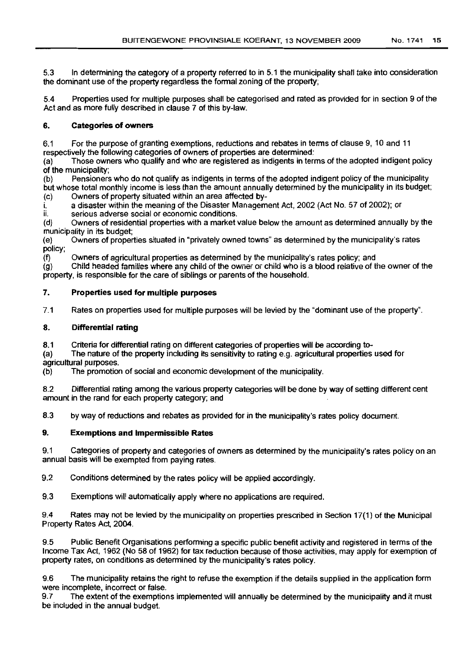5.3 In determining the category of a property referred to in 5.1 the municipality shall take into consideration the dominant use of the property regardless the formal zoning of the property;

5.4 Properties used for multiple purposes shall be categorised and rated as provided for in section 9 of the Act and as more fully described in clause 7 of this by-law.

# 6. Categories of owners

6.1 For the purpose of granting exemptions, reductions and rebates in terms of clause 9, 10 and 11 respectively the following categories of owners of properties are determined:

(a) Those owners who qualify and who are registered as indigents in terms of the adopted indigent policy of the municipality;

(b) Pensioners who do not qualify as indigents in terms of the adopted indigent policy of the municipality but whose total monthly income is less than the amount annually determined by the municipality in its budget; (c) Owners of property situated within an area affected by-

i. a disaster within the meaning of the Disaster Management Act, 2002 (Act No. 57 of 2002); or

ii. serious adverse social or economic conditions.

(d) Owners of residential properties with a market value below the amount as determined annually by the municipality in its budget;

(e) Owners of properties situated in "privately owned towns" as determined by the municipality's rates policy;<br>(f)

Owners of agricultural properties as determined by the municipality's rates policy; and

 $(g)$  Child headed families where any child of the owner or child who is a blood relative of the owner of the property, is responsible for the care of siblings or parents of the household.

# 7. Properties used for multiple purposes

7.1 Rates on properties used for multiple purposes will be levied by the "dominant use of the property".

# 8. Differential rating

8.1 Criteria for differential rating on different categories of properties will be according to-<br>(a) The nature of the property including its sensitivity to rating e.g. agricultural properties

The nature of the property including its sensitivity to rating e.g. agricultural properties used for agricultural purposes.

(b) The promotion of social and economic development of the municipality.

8.2 Differential rating among the various property categories will be done by way of setting different cent amount in the rand for each property category; and

8.3 by way of reductions and rebates as provided for in the municipality's rates policy document.

# 9. Exemptions and Impermissible Rates

9.1 Categories of property and categories of owners as determined by the municipality's rates policy on an annual basis will be exempted from paying rates.

9.2 Conditions determined by the rates policy will be applied accordingly.

9.3 Exemptions will automatically apply where no applications are required.

9.4 Rates may not be levied by the municipality on properties prescribed in Section 17(1) of the Municipal Property Rates Act, 2004.

9.5 Public Benefit Organisations performing a specific public benefit activity and registered in terms of the Income Tax Act, 1962 (No 58 of 1962) for tax reduction because of those activities, may apply for exemption of property rates, on conditions as determined by the municipality's rates policy.

9.6 The municipality retains the right to refuse the exemption if the details supplied in the application form were incomplete, incorrect or false.<br>9.7 The extent of the exemption

The extent of the exemptions implemented will annually be determined by the municipality and it must be included in the annual budget.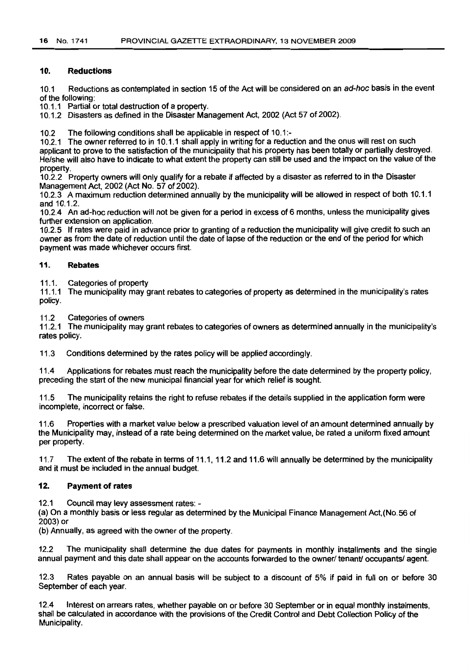#### 10. Reductions

10.1 Reductions as contemplated in section 15 of the Act will be considered on an ad-hoc basis in the event of the following:

10.1.1 Partial or total destruction of a property.

10.1.2 Disasters as defined in the Disaster Management Act, 2002 (Act 57 of 2002).

10.2 The following conditions shall be applicable in respect of 10.1:-

10.2.1 The owner referred to in 10.1.1 shall apply in writing for a reduction and the onus will rest on such applicant to prove to the satisfaction of the municipality that his property has been totally or partially destroyed. He/she will also have to indicate to what extent the property can still be used and the impact on the value of the property.

10.2.2 Property owners will only qualify for a rebate if affected by a disaster as referred to in the Disaster Management Act, 2002 (Act No. 57 of 2002).

10.2.3 A maximum reduction determined annually by the municipality will be allowed in respect of both 10.1.1 and 10.1.2.

10.2.4 An ad-hoc reduction will not be given for a period in excess of 6 months, unless the municipality gives further extension on application.

10.2.5 If rates were paid in advance prior to granting of a reduction the municipality will give credit to such an owner as from the date of reduction until the date of lapse of the reduction or the end of the period for which payment was made whichever occurs first.

#### 11. Rebates

11.1. Categories of property

11.1.1 The municipality may grant rebates to categories of property as determined in the municipality's rates policy.

11.2 Categories of owners

11.2.1 The municipality may grant rebates to categories of owners as determined annually in the municipality's rates policy.

11.3 Conditions determined by the rates policy will be applied accordingly.

11.4 Applications for rebates must reach the municipality before the date determined by the property policy, preceding the start of the new municipal financial year for which relief is sought.

11.5 The municipality retains the right to refuse rebates if the details supplied in the application form were incomplete, incorrect or false.

11.6 Properties with a market value below a prescribed valuation level of an amount determined annually by the Municipality may, instead of a rate being determined on the market value, be rated a uniform fixed amount per property.

11.7 The extent of the rebate in terms of 11.1, 11.2 and 11.6 will annually be determined by the municipality and it must be included in the annual budget.

#### 12. Payment of rates

12.1 Council may levy assessment rates: -

(a) On a monthly basis or less regular as determined by the Municipal Finance Management Act,(No.56 of 2003) or

(b) Annually, as agreed with the owner of the property.

12.2 The municipality shall determine the due dates for payments in monthly installments and the single annual payment and this date shall appear on the accounts forwarded to the owner/ tenant/ occupants/ agent.

12.3 Rates payable on an annual basis will be subject to a discount of 5% if paid in full on or before 30 September of each year.

12.4 Interest on arrears rates, whether payable on or before 30 September or in equal monthly instalments, shall be calculated in accordance with the provisions of the Credit Control and Debt Collection Policy of the Municipality.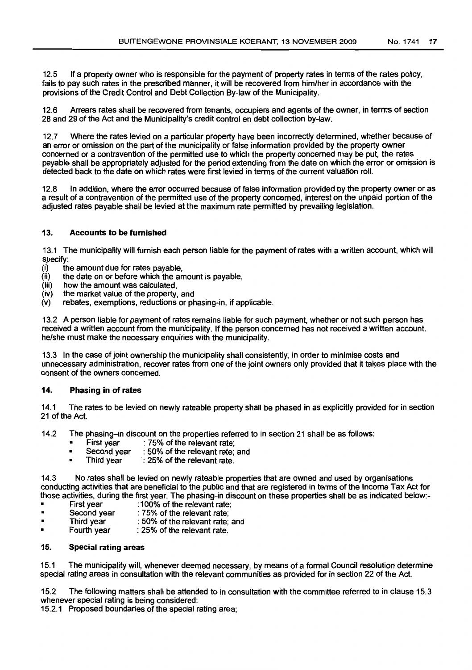12.5 If a property owner who is responsible for the payment of property rates in terms of the rates policy, fails to pay such rates in the prescribed manner, it will be recovered from him/her in accordance with the provisions of the Credit Control and Debt Collection By-law of the Municipality.

12.6 Arrears rates shall be recovered from tenants, occupiers and agents of the owner, in terms of section 28 and 29 of the Act and the Municipality's credit control en debt collection by-law.

12.7 Where the rates levied on a particular property have been incorrectly determined, whether because of an error or omission on the part of the municipality or false information provided by the property owner concerned or a contravention of the permitted use to which the property concerned may be put, the rates payable shall be appropriately adjusted for the period extending from the date on which the error or omission is detected back to the date on which rates were first levied in terms of the current valuation roll.

12.8 In addition, where the error occurred because of false information provided by the property owner or as a result of a contravention of the permitted use of the property concerned, interest on the unpaid portion of the adjusted rates payable shall be levied at the maximum rate permitted by prevailing legislation.

#### 13. Accounts to be furnished

13.1 The municipality will furnish each person liable for the payment of rates with a written account, which will specify:

- (i) the amount due for rates payable,
- $\overrightarrow{(ii)}$  the date on or before which the amount is payable,  $(iii)$  how the amount was calculated,
- $(iii)$  how the amount was calculated,<br> $(iv)$  the market value of the property,
- $(iv)$  the market value of the property, and  $(v)$  rebates, exemptions, reductions or ph
- rebates, exemptions, reductions or phasing-in, if applicable.

13.2 A person liable for payment of rates remains liable for such payment, whether or not such person has received a written account from the municipality. If the person concerned has not received a written account, he/she must make the necessary enquiries with the municipality.

13.3 In the case of joint ownership the municipality shall consistently, in order to minimise costs and unnecessary administration, recover rates from one of the joint owners only provided that it takes place with the consent of the owners concerned.

#### 14. Phasing in ofrates

14.1 The rates to be levied on newly rateable property shall be phased in as explicitly provided for in section 21 of the Act.

- 14.2 The phasing-in discount on the properties referred to in section 21 shall be as follows:<br>First year : 75% of the relevant rate:
	-
	- First year : 75% of the relevant rate;<br>• Second year : 50% of the relevant rate: • Second year : 50% of the relevant rate; and<br>• Third year : 25% of the relevant rate.
	- : 25% of the relevant rate.

14.3 No rates shall be levied on newly rateable properties that are owned and used by organisations conducting activities that are beneficial to the public and that are registered in terms of the Income Tax Act for those activities, during the first year. The phasing-in discount on these properties shall be as indicated below:-<br>First year :100% of the relevant rate:

- First year :100% of the relevant rate;<br>• Second year : 75% of the relevant rate;
- Second year : 75% of the relevant rate;
- Fhird year : 50% of the relevant rate; and<br>Fourth year : 25% of the relevant rate.
- : 25% of the relevant rate.

#### 15. Special rating areas

15.1 The municipality will, whenever deemed necessary, by means of a formal Council resolution determine special rating areas in consultation with the relevant communities as provided for in section 22 of the Act.

15.2 The following matters shall be attended to in consultation with the committee referred to in clause 15.3 whenever special rating is being considered:

15.2.1 Proposed boundaries of the special rating area;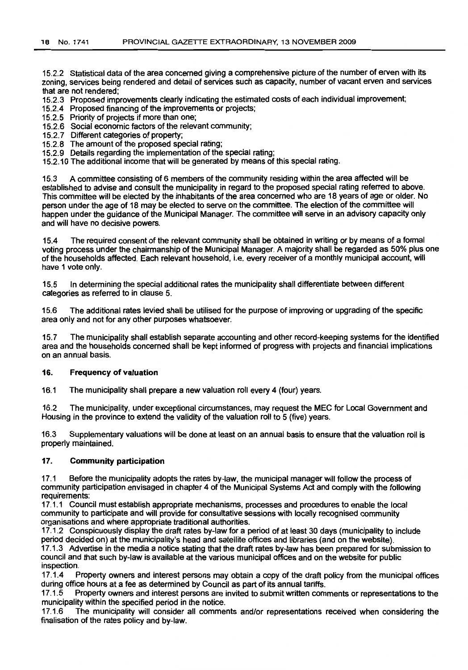15.2.2 Statistical data of the area concerned giving a comprehensive picture of the number of erven with its zoning, services being rendered and detail of services such as capacity, number of vacant erven and services that are not rendered;

- 15.2.3 Proposed improvements clearly indicating the estimated costs of each individual improvement;
- 15.2.4 Proposed financing of the improvements or projects;
- 15.2.5 Priority of projects if more than one;
- 15.2.6 Social economic factors of the relevant community;
- 15.2.7 Different categories of property;
- 15.2.8 The amount of the proposed special rating;
- 15.2.9 Details regarding the implementation of the special rating;
- 15.2.10 The additional income that will be generated by means of this special rating.

15.3 A committee consisting of 6 members of the community residing within the area affected will be established to advise and consult the municipality in regard to the proposed special rating referred to above. This committee will be elected by the inhabitants of the area concerned who are 18 years of age or older. No person under the age of 18 may be elected to serve on the committee. The election of the committee will happen under the guidance of the Municipal Manager. The committee will serve in an advisory capacity only and will have no decisive powers.

15.4 The required consent of the relevant community shall be obtained in writing or by means of a formal voting process under the chairmanship of the Municipal Manager. A majority shall be regarded as 50% plus one of the households affected. Each relevant household, l.e, every receiver of a monthly municipal account, will have 1 vote only.

15.5 In determining the special additional rates the municipality shall differentiate between different categories as referred to in clause 5.

15.6 The additional rates levied shall be utilised for the purpose of improving or upgrading of the specific area only and not for any other purposes whatsoever.

15.7 The municipality shall establish separate accounting and other record-keeping systems for the identified area and the households concerned shall be kept informed of progress with projects and financial implications on an annual basis.

#### 16. Frequency of valuation

16.1 The municipality shall prepare a new valuation roll every 4 (four) years.

16.2 The municipality, under exceptional circumstances, may request the MEC for Local Government and Housing in the province to extend the validity of the valuation roll to 5 (five) years.

16.3 Supplementary valuations will be done at least on an annual basis to ensure that the valuation roll is properly maintained.

#### 17. Community participation

17.1 Before the municipality adopts the rates by-law, the municipal manager will follow the process of community participation envisaged in chapter 4 of the Municipal Systems Act and comply with the following requirements:

17.1.1 Council must establish appropriate mechanisms, processes and procedures to enable the local community to participate and will provide for consultative sessions with locally recognised community organisations and where appropriate traditional authorities.

17.1.2 Conspicuously display the draft rates by-law for a period of at least 30 days (municipality to include period decided on) at the municipality's head and satellite offices and libraries (and on the website). 17.1.3 Advertise in the media a notice stating that the draft rates by-law has been prepared for submission to

council and that such by-law is available at the various municipal offices and on the website for public inspection.

17.1.4 Property owners and interest persons may obtain a copy of the draft policy from the municipal offices during office hours at a fee as determined by Council as part of its annual tariffs.

17.1.5 Property owners and interest persons are invited to submit written comments or representations to the municipality within the specified period in the notice.

17.1.6 The municipality will consider all comments and/or representations received when considering the finalisation of the rates policy and by-law.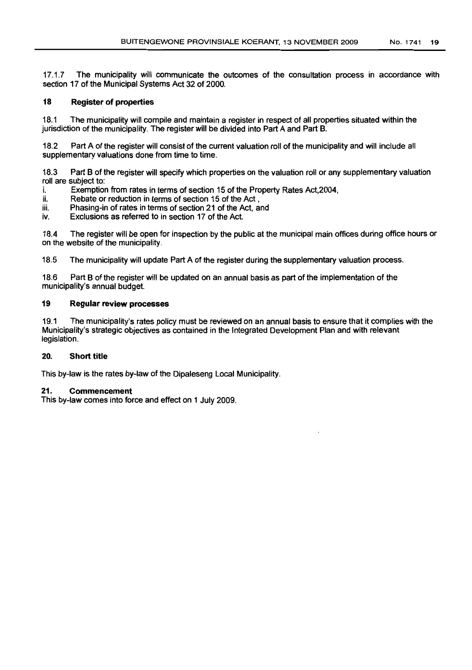17.1.7 The municipality will communicate the outcomes of the consultation process in accordance with section 17 of the Municipal Systems Act 32 of 2000.

#### 18 Register of properties

18.1 The municipality will compile and maintain a register in respect of all properties situated within the jurisdiction of the municipality. The register will be divided into Part A and Part B.

18.2 Part A of the register will consist of the current valuation roll of the municipality and will include all supplementary valuations done from time to time.

18.3 Part B of the register will specify which properties on the valuation roll or any supplementary valuation roll are subject to:

- i. Exemption from rates in terms of section 15 of the Property Rates Act,2004,
- ii. Rebate or reduction in terms of section 15 of the Act,
- iii. Phasing-in of rates in terms of section 21 of the Act, and
- iv. Exclusions as referred to in section 17 of the Act.

18.4 The register will be open for inspection by the public at the municipal main offices during office hours or on the website of the municipality.

18.5 The municipality will update Part A of the register during the supplementary valuation process.

18.6 Part B of the register will be updated on an annual basis as part of the implementation of the municipality's annual budget.

#### 19 Regular review processes

19.1 The municipality's rates policy must be reviewed on an annual basis to ensure that it complies with the Municipality's strategic objectives as contained in the Integrated Development Plan and with relevant legislation.

# 20. Short title

This by-law is the rates by-law of the Dipaleseng Local Municipality.

#### 21. Commencement

This by-law comes into force and effect on 1 July 2009.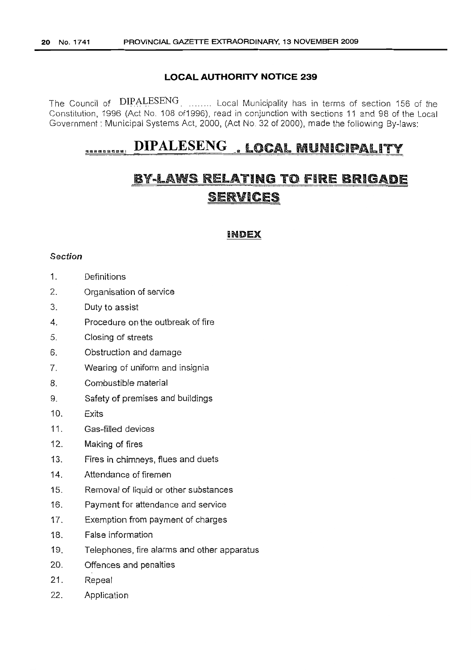# **LOCAL AUTHORITY NOTICE 239**

The Council of DIPALESENG. ........ Local Municipality has in terms of section 156 of the Constitution, 1996 (Act NO.1 08 of1996), read in conjunction with sections 11 and 98 of the Local Government: Municipal Systems Act, 2000, (Act No. 32 of 2000), made the following By-laws:

# <sup>U</sup> .. <sup>U</sup> ....UI **DIPALESENG.,"** LOCAL MUNICIPALITY

# BY-LAWS RELATING TO FIRE BRIGADE SERVICES

# INDEX

# Section

- 1. Definitions
- 2. Organisation of service
- 3. Duty to assist
- 4. Procedure on the outbreak of fire
- 5. Closing of streets
- 6. Obstruction and damage
- 7. Wearing of uniform and insignia
- 8. Combustible material
- 9. Safety of premises and buildings
- 10. Exits
- 11. Gas-filled devices
- 12. Making of fires
- 13. Fires in chimneys, flues and duets
- 14. Attendance of firemen
- 15. Removal of liquid or other substances
- 16. Payment for attendance and service
- 17. Exemption from payment of charges
- 18. False information
- 19. Telephones, fire alarms and other apparatus
- 20. Offences and penalties
- 21. Repeal
- 22. Application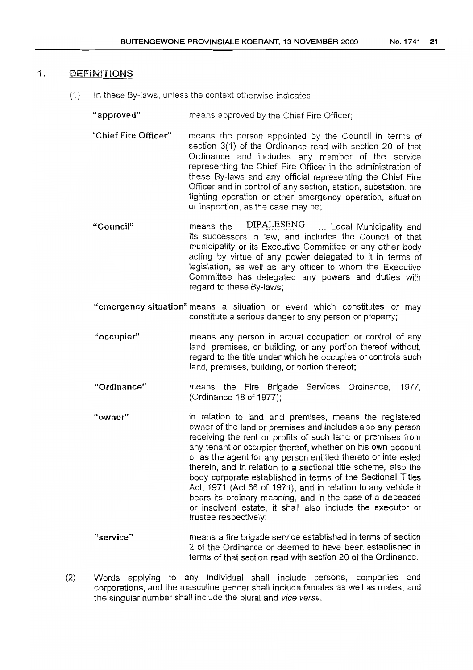# 1. DEFINITIONS

- $(1)$  In these By-laws, unless the context otherwise indicates  $-$ 
	- "approved" means approved by the Chief Fire Officer;
	- "Chief Fire Officer" means the person appointed by the Council in terms of section 3(1) of the Ordinance read with section 20 of that Ordinance and includes any member of the service representing the Chief Fire Officer in the administration of these By-laws and any official representing the Chief Fire Officer and in control of any section, station, substation, fire fighting operation or other emergency operation, situation or inspection, as the case may be;
	- "Council" means the  $DIPALESENG$  ... Local Municipality and its successors in law, and includes the Council of that municipality or its Executive Committee or any other body acting by virtue of any power delegated to it in terms of legislation, as well as any officer to whom the Executive Committee has delegated any powers and duties with regard to these By-laws;
	- "emergency situation" means a situation or event which constitutes or may constitute a serious danger to any person or property;
	- "occupier" means any person in actual occupation or control of any land, premises, or building, or any portion thereof without, regard to the title under which he occupies or controls such land, premises, building, or portion thereof;
	- "Ordinance" means the Fire Brigade Services Ordinance, 1977, (Ordinance 18 of 1977);
	- "owner" in relation to land and premises, means the registered owner of the land or premises and includes also any person receiving the rent or profits of such land or premises from any tenant or occupier thereof, whether on his own account or as the agent for any person entitled thereto or interested therein, and in relation to a sectional title scheme, also the body corporate established in terms of the Sectional Titles Act, 1971 (Act 66 of 1971), and in relation to any vehicle it bears its ordinary meaning, and in the case of a deceased or insolvent estate, it shall also include the executor or trustee respectively;
	- " service" means a fire brigade service established in terms of section 2 of the Ordinance or deemed to have been established in terms of that section read with section 20 of the Ordinance.
- (2) Words applying to any individual shall include persons, companies and corporations, and the masculine gender shall include females as well as males, and the singular number shall include the plural and vice versa.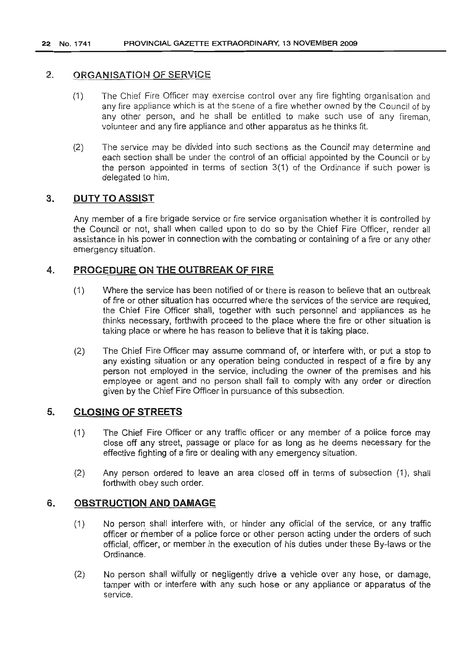# 2. ORGANISATION OF SERViCE

- (1) The Chief Fire Officer may exercise control over any fire fighting organisation and any fire appliance which is at the scene of a fire whether owned by the Council of by any other person, and he shall be entitled to make such use of any fireman, volunteer and any fire appliance and other apparatus as he thinks fit.
- (2) The service may be divided into such sections as the Council may determine and each section shall be under the control of an official appointed by the Council or by the person appointed in terms of section 3(1) of the Ordinance if such power is delegated to him.

# 3. DUTY TO ASSIST

Any member of a fire brigade service or fire service organisation whether it is controlled by the Council or not, shall when called upon to do so by the Chief Fire Officer, render all assistance in his power in connection with the combating or containing of a fire or any other emergency situation.

# 4. PROCEDURE ON THE OUTBREAK OF FIRE

- (1) Where the service has been notified of or there is reason to believe that an outbreak of fire or other situation has occurred where the services of the service are required, the Chief Fire Officer shall, together with such personnel and 'appliances as he thinks necessary, forthwith proceed to the place where the fire or other situation is taking place or where he has reason to believe that it is taking place.
- (2) The Chief Fire Officer may assume command of, or interfere with, or put a stop to any existing situation or any operation being conducted in respect of a fire by any person not employed in the service, including the owner of the premises and his employee or agent and no person shall fail to comply with any order or direction given by the Chief Fire Officer in pursuance of this subsection.

# 5. CLOSING OF STREETS

- (1) The Chief Fire Officer or any traffic officer or any member of a police force may close off any street, passage or place for as long as he deems necessary for the effective fighting of a fire or dealing with any emergency situation.
- (2) Any person ordered to leave an area closed off in terms of subsection (1), shall forthwith obey such order.

# 6. OBSTRUCTION AND DAMAGE

- (1) No person shall interfere with, or hinder any official of the service, or any traffic officer or member of a police force or other person acting under the orders of such official, officer, or member in the execution of his duties under these By-laws or the Ordinance.
- (2) No person shall wilfully or negligently drive a vehicle over any hose, or damage, tamper with or interfere with any such hose or any appliance or apparatus of the service.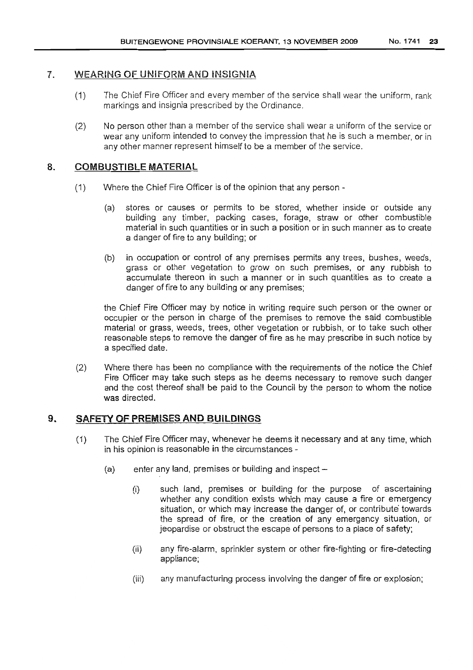# 1. WEARiNG OF UNIFORM AND iNSIGNIA

- (1) The Chief Fire Officer and every member of the service shall wear the uniform, rank markings and insignia prescribed by the Ordinance.
- (2) No person other than a member of the service shall wear a uniform of the service or wear any uniform intended to convey the impression that he is such a member, or in any other manner represent himself to be a member of the service.

# 8. COMBUSTIBLE MATERIAL

- (1) Where the Chief Fire Officer is of the opinion that any person
	- (a) stores or causes or permits to be stored, whether inside or outside any building any timber, packing cases, forage, straw or other combustible material in such quantities or in such a position or in such manner as to create a danger of fire to any building; or
	- (b) in occupation or control of any premises permits any trees, bushes, weeds, grass or other vegetation to grow on such premises, or any rubbish to accumulate thereon in such a manner or in such quantities as to create a danger of fire to any building or any premises;

the Chief Fire Officer may by notice in writing require such person or the owner or occupier or the person in charge of the premises to remove the said combustible material or grass, weeds, trees, other vegetation or rubbish, or to take such other reasonable steps to remove the danger of fire as he may prescribe in such notice by a specified date.

(2) Where there has been no compliance with the requirements of the notice the Chief Fire Officer may take such steps as he deems necessary to remove such danger and the cost thereof shall be paid to the Council by the person to whom the notice was directed.

# 9. SAFETY OF PREMISES AND BUILDINGS

- (1) The Chief Fire Officer may, whenever he deems it necessary and at any time, which in his opinion is reasonable in the circumstances -
	- $(a)$  enter any land, premises or building and inspect  $-$ 
		- (i) such land, premises or building for the purpose of ascertaining whether any condition exists which may cause a fire or emergency situation, or which may increase the danger of, or contribute towards the spread of fire, or the creation of any emergency situation, or jeopardise or obstruct the escape of persons to a place of safety;
		- (ii) any fire-alarm, sprinkler system or other fire-fighting or fire-detecting appliance;
		- (iii) any manufacturing process involving the danger of fire or explosion;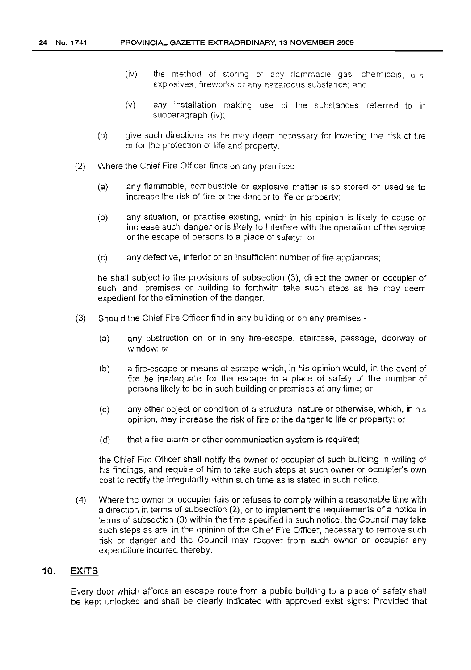- (iv) the method of storing of any flammable gas, chemicals, oils, explosives, fireworks or any hazardous substance; and
- (v) any installation making use of the substances referred to in subparagraph (iv);
- (b) give such directions as he may deem necessary for lowering the risk of fire or for the protection of life and property.
- (2) Where the Chief Fire Officer finds on any premises  $-$ 
	- (a) any flammable, combustible or explosive matter is so stored or used as to increase the risk of fire or the danger to life or property;
	- (b) any situation, or practise existing, which in his opinion is likely to cause or increase such danger or is likely to interfere with the operation of the service or the escape of persons to a place of safety; or
	- (c) any defective, inferior or an insufficient number of fire appliances;

he shall subject to the provisions of subsection (3), direct the owner or occupier of such land, premises or building to forthwith take such steps as he may deem expedient for the elimination of the danger.

- (3) Should the Chief Fire Officer find in any building or on any premises
	- (a) any obstruction on or in any fire-escape, staircase, passage, doorway or window; or
	- (b) a fire-escape or means of escape which, in his opinion would, in the event of fire be inadequate for the escape to a place of safety of the number of persons likely to be in such building or premises at any time; or
	- (c) any other object or condition of a structural nature or otherwise, which, in his opinion, may increase the risk of fire or the danger to life or property; or
	- (d) that a fire-alarm or other communication system is required;

the Chief Fire Officer shall notify the owner or occupier of such building in writing of his findings, and require of him to take such steps at such owner or occupier's own cost to rectify the irregularity within such time as is stated in such notice.

(4) Where the owner or occupier fails or refuses to comply within a reasonable time with a direction in terms of subsection (2), or to implement the requirements of a notice in terms of subsection (3) within the time specified in such notice, the Council may take such steps as are, in the opinion of the Chief Fire Officer, necessary to remove such risk or danger and the Council may recover from such owner or occupier any expenditure incurred thereby.

# 10. **EXITS**

Every door which affords an escape route from a public building to a place of safety shall be kept unlocked and shall be clearly indicated with approved exist signs: Provided that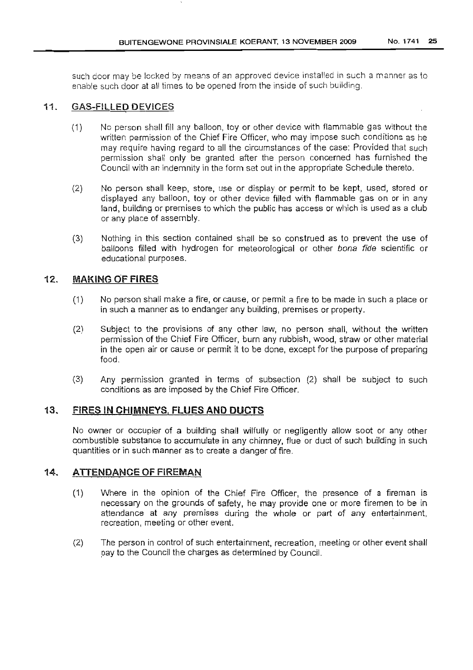such door may be locked by means of an approved device installed in such a manner as to enable such door at all times to be opened from the inside of such building.

# 11. GAS-FillED DEViCES

- (1) No person shall fill any balloon, toy or other device with flammable gas without the written permission of the Chief Fire Officer. who may impose such conditions as he may require having regard to all the circumstances of the case: Provided that such permission shall only be granted after the person concerned has furnished the Council with an indemnity in the form set out in the appropriate Schedule thereto.
- (2) No person shall keep, store, use or display or permit to be kept, used, stored or displayed any balloon, toy or other device filled with flammable gas on or in any land, building or premises to which the public has access or which is used as a club or any place of assembly.
- (3) Nothing in this section contained shall be so construed as to prevent the use of balloons filled with hydrogen for meteorological or other bona fide scientific or educational purposes.

# 12. MAKING OF FIRES

- (1) No person shall make a fire, or cause, or permit a fire to be made in such a place or in such a manner as to endanger any building, premises or property.
- (2) Subject to the provisions of any other law, no person shall, without the written permission of the Chief Fire Officer, burn any rubbish, wood, straw or other material in the open air or cause or permit it to be done, except for the purpose of preparing food.
- (3) Any permission granted in terms of subsection (2) shall be subject to such conditions as are imposed by the Chief Fire Officer.

# 13. FIRES IN CHIMNEYS, FLUES AND DUCTS

No owner or occupier of a building shall wilfully or negligently allow soot or any other combustible substance to accumulate in any chimney, flue or duct of such building in such quantities or in such manner as to create a danger of fire.

# 14. ATTENDANCE OF FIREMAN

- (1) Where in the opinion of the Chief Fire Officer, the presence of a fireman is necessary on the grounds of safety, he may provide one or more firemen to be in attendance at any premises during the whole or part of any entertainment, recreation, meeting or other event.
- (2) The person in control of such entertainment, recreation, meeting or other event shall pay to the Council the charges as determined by Council.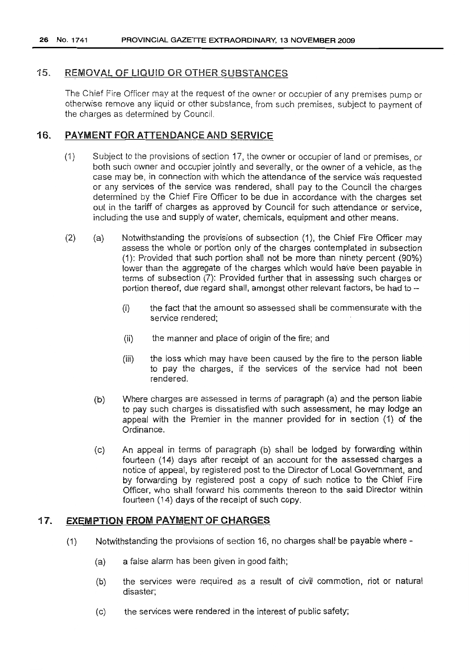26 No. 1741 PROVINCIAL GAZETTE EXTRAORDINARY, 13 NOVEMBER 2009

# 15. REMOVAL OF LIQUID OR OTHER SUBSTANCES

The Chief Fire Officer may at the request of the owner or occupier of any premises pump or otherwise remove any liquid or other substance, from such premises, subject to payment of the charges as determined by Council

# 16. PAYMENT FOR ATIENDANCE AND SERVICE

- (1) Subject to the provisions of section 17, the owner or occupier of land or premises, or both such owner and occupier jointly and severally, or the owner of a vehicle, as the case may be, in connection with which the attendance of the service wa's requested or any services of the service was rendered, shall pay to the Council the charges determined by the Chief Fire Officer to be due in accordance with the charges set out in the tariff of charges as approved by Council for such attendance or service, including the use and supply of water, chemicals, equipment and other means.
- (2) (a) Notwithstanding the provisions of subsection (1), the Chief Fire Officer may assess the whole or portion only of the charges contemplated in SUbsection (1): Provided that such portion shall not be more than ninety percent (90%) lower than the aggregate of the charges which would have been payable in terms of subsection (7): Provided further that in assessing such charges or portion thereof, due regard shall, amongst other relevant factors, be had to --
	- (i) the fact that the amount so assessed shall be commensurate with the service rendered;
	- (ii) the manner and place of origin of the fire; and
	- (iii) the loss which may have been caused by the fire to the person liable to pay the charges, if the services of the service had not been rendered.
	- (b) Where charges are assessed in terms of paragraph (a) and the person liable to pay such charges is dissatisfied with such assessment, he may lodge an appeal with the Premier in the manner provided for in section (1) of the Ordinance.
	- (c) An appeal in terms of paragraph (b) shall be lodged by forwarding within fourteen (14) days after receipt of an account for the assessed charges a notice of appeal, by registered post to the Director of Local Government, and by forwarding by registered post a copy of such notice to the Chief Fire Officer, who shall forward his comments thereon to the said Director within fourteen (14) days of the receipt of such copy.

# 17. EXEMPTiON FROM PAYMENT OF CHARGES

- (1) Notwithstanding the provisions of section 16, no charges shall be payable where-
	- (a) a false alarm has been given in good faith;
	- (b) the services were required as a result of civil commotion, riot or natural disaster;
	- (c) the services were rendered in the interest of public safety;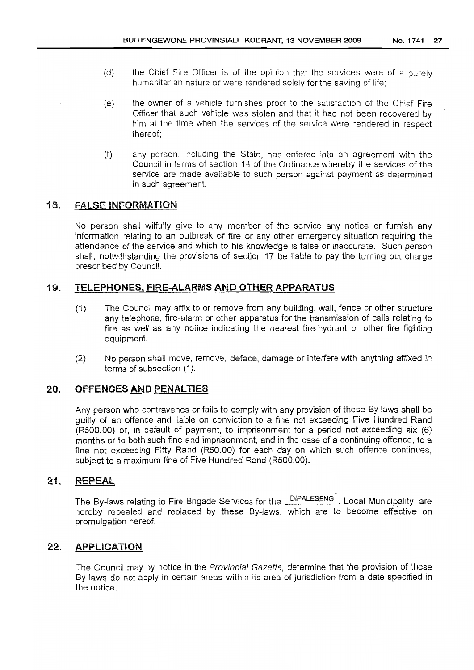- (d) the Chief Fire Officer is of the opinion that the services were of a purely humanitarian nature or were rendered solely for the saving of life;
- (e) the owner of a vehicle furnishes proof to the satisfaction of the Chief Fire Officer that such vehicle was stolen and that it had not been recovered by him at the time when the services of the service were rendered in respect thereof;
- (f) any person, including the State, has entered into an agreement with the Council in terms of section 14 of the Ordinance whereby the services of the service are made available to such person against payment as determined in such agreement.

# 18. FALSE INFORMATION

No person shall wilfully give to any member of the service any notice or furnish any information relating to an outbreak of fire or any other emergency situation requiring the attendance of the service and which to his knowledge is false or inaccurate. Such person shall, notwithstanding the provisions of section 17 be liable to pay the turning out charge prescribed by Council.

# 19. TELEPHONES. FIRE-ALARMS AND OTHER APPARATUS

- (1) The Council may affix to or remove from any building, wall, fence or other structure any telephone, fire-alarm or other apparatus for the transmission of calls relating to fire as well as any notice indicating the nearest fire-hydrant or other fire fighting equipment.
- (2) No person shall move, remove, deface, damage or interfere with anything affixed in terms of subsection (1).

# 20. OFFENCES **AND** PENALTIES

Any person who contravenes or fails to comply with any provision of these By-laws shall be guilty of an offence and liable on conviction to a fine not exceeding Five Hundred Rand (R500.00) or, in default of payment, to imprisonment for a period not exceeding six (6) months or to both such fine and imprisonment, and in the case of a continuing offence, to a fine not exceeding Fifty Rand (R50.00) for each day on which such offence continues, subject to a maximum fine of Five Hundred Rand (R500.00).

# 21. REPEAL

The By-laws relating to Fire Brigade Services for the **DIPALESENG**. Local Municipality, are hereby repealed and replaced by these By-laws, which are to become effective on promulgation hereof.

# 22. APPLlCATION

The Council may by notice in the Provincial Gazette, determine that the provision of these By-laws do not apply in certain areas within its area of jurisdiction from a date specified in the notice.